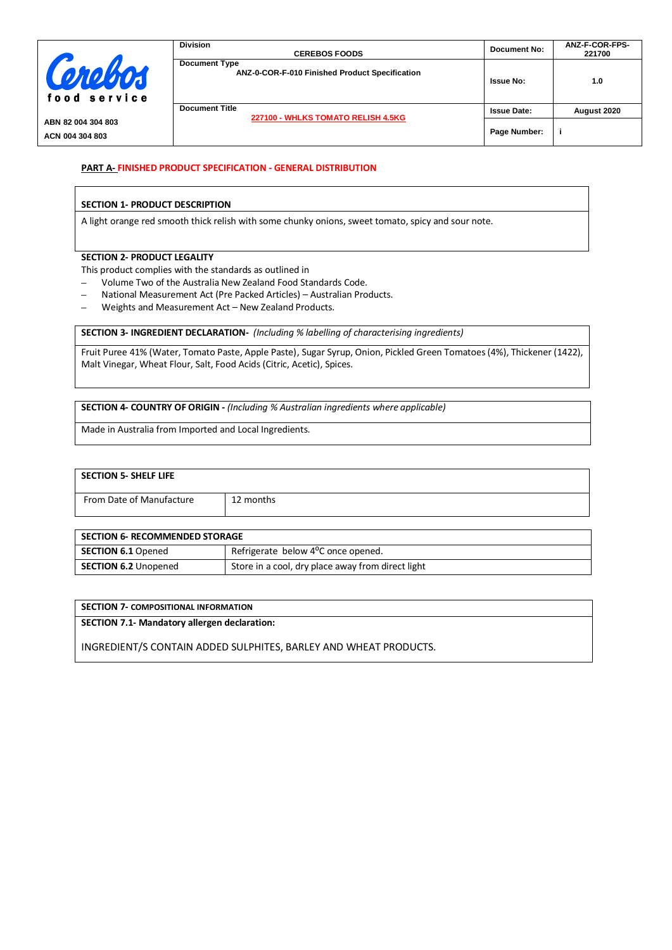|                                       | <b>Division</b><br><b>CEREBOS FOODS</b>                                | Document No:       | ANZ-F-COR-FPS-<br>221700 |
|---------------------------------------|------------------------------------------------------------------------|--------------------|--------------------------|
| Cerebos<br>food service               | <b>Document Type</b><br>ANZ-0-COR-F-010 Finished Product Specification | <b>Issue No:</b>   | 1.0                      |
|                                       | <b>Document Title</b><br>227100 - WHLKS TOMATO RELISH 4.5KG            | <b>Issue Date:</b> | August 2020              |
| ABN 82 004 304 803<br>ACN 004 304 803 |                                                                        | Page Number:       |                          |

## **PART A- FINISHED PRODUCT SPECIFICATION - GENERAL DISTRIBUTION**

### **SECTION 1- PRODUCT DESCRIPTION**

A light orange red smooth thick relish with some chunky onions, sweet tomato, spicy and sour note.

### **SECTION 2- PRODUCT LEGALITY**

This product complies with the standards as outlined in

- **–** Volume Two of the Australia New Zealand Food Standards Code.
- **–** National Measurement Act (Pre Packed Articles) Australian Products.
- **–** Weights and Measurement Act New Zealand Products.

## **SECTION 3- INGREDIENT DECLARATION-** *(Including % labelling of characterising ingredients)*

Fruit Puree 41% (Water, Tomato Paste, Apple Paste), Sugar Syrup, Onion, Pickled Green Tomatoes (4%), Thickener (1422), Malt Vinegar, Wheat Flour, Salt, Food Acids (Citric, Acetic), Spices.

**SECTION 4- COUNTRY OF ORIGIN -** *(Including % Australian ingredients where applicable)*

Made in Australia from Imported and Local Ingredients.

| <b>SECTION 5- SHELF LIFE</b> |           |
|------------------------------|-----------|
| From Date of Manufacture     | 12 months |

| <b>SECTION 6- RECOMMENDED STORAGE</b> |                                                   |  |
|---------------------------------------|---------------------------------------------------|--|
| <b>SECTION 6.1 Opened</b>             | Refrigerate below 4 <sup>o</sup> C once opened.   |  |
| <b>SECTION 6.2 Unopened</b>           | Store in a cool, dry place away from direct light |  |

| SECTION 7- COMPOSITIONAL INFORMATION                |  |
|-----------------------------------------------------|--|
| <b>SECTION 7.1- Mandatory allergen declaration:</b> |  |

INGREDIENT/S CONTAIN ADDED SULPHITES, BARLEY AND WHEAT PRODUCTS.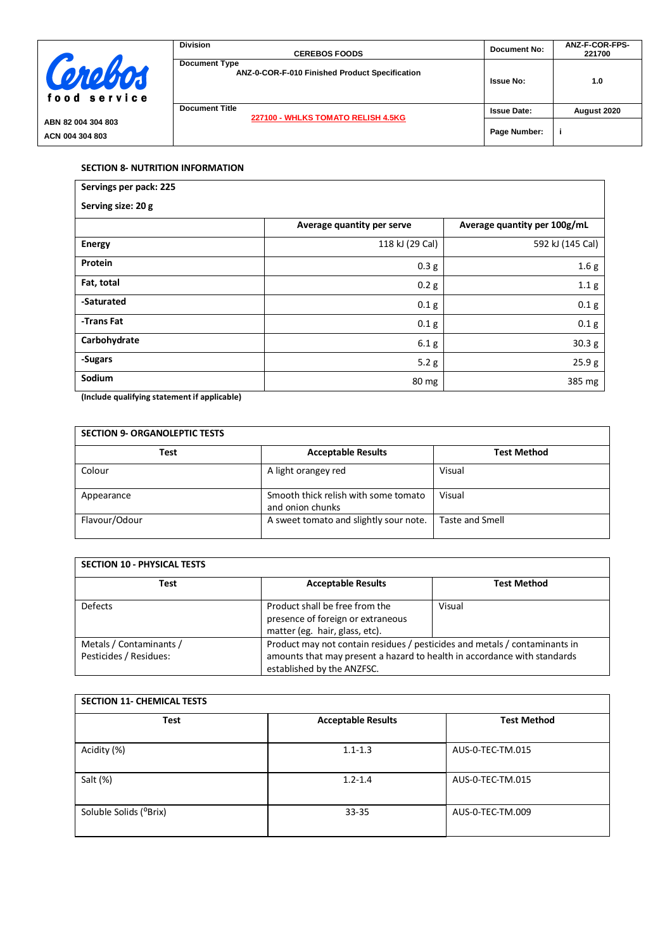|                                       | <b>Division</b><br><b>CEREBOS FOODS</b>                                | Document No:       | ANZ-F-COR-FPS-<br>221700 |
|---------------------------------------|------------------------------------------------------------------------|--------------------|--------------------------|
| Cerebos<br>food service               | <b>Document Type</b><br>ANZ-0-COR-F-010 Finished Product Specification | <b>Issue No:</b>   | 1.0                      |
|                                       | <b>Document Title</b><br>227100 - WHLKS TOMATO RELISH 4.5KG            | <b>Issue Date:</b> | August 2020              |
| ABN 82 004 304 803<br>ACN 004 304 803 |                                                                        | Page Number:       |                          |

# **SECTION 8- NUTRITION INFORMATION**

| Servings per pack: 225 |                            |                              |  |  |
|------------------------|----------------------------|------------------------------|--|--|
| Serving size: 20 g     |                            |                              |  |  |
|                        | Average quantity per serve | Average quantity per 100g/mL |  |  |
| <b>Energy</b>          | 118 kJ (29 Cal)            | 592 kJ (145 Cal)             |  |  |
| Protein                | 0.3 g                      | 1.6 <sub>g</sub>             |  |  |
| Fat, total             | 0.2 g                      | 1.1 g                        |  |  |
| -Saturated             | 0.1 <sub>g</sub>           | 0.1 <sub>g</sub>             |  |  |
| -Trans Fat             | 0.1 <sub>g</sub>           | 0.1 <sub>g</sub>             |  |  |
| Carbohydrate           | 6.1 g                      | 30.3 <sub>g</sub>            |  |  |
| -Sugars                | 5.2 g                      | 25.9 g                       |  |  |
| Sodium                 | 80 mg                      | 385 mg                       |  |  |

**(Include qualifying statement if applicable)**

| <b>SECTION 9- ORGANOLEPTIC TESTS</b> |                                                          |                        |  |
|--------------------------------------|----------------------------------------------------------|------------------------|--|
| Test                                 | <b>Acceptable Results</b>                                | <b>Test Method</b>     |  |
| Colour                               | A light orangey red                                      | Visual                 |  |
| Appearance                           | Smooth thick relish with some tomato<br>and onion chunks | Visual                 |  |
| Flavour/Odour                        | A sweet tomato and slightly sour note.                   | <b>Taste and Smell</b> |  |

| <b>SECTION 10 - PHYSICAL TESTS</b>                |                                                                                                                                                                                      |                    |  |
|---------------------------------------------------|--------------------------------------------------------------------------------------------------------------------------------------------------------------------------------------|--------------------|--|
| <b>Test</b>                                       | <b>Acceptable Results</b>                                                                                                                                                            | <b>Test Method</b> |  |
| <b>Defects</b>                                    | Product shall be free from the<br>presence of foreign or extraneous<br>matter (eg. hair, glass, etc).                                                                                | Visual             |  |
| Metals / Contaminants /<br>Pesticides / Residues: | Product may not contain residues / pesticides and metals / contaminants in<br>amounts that may present a hazard to health in accordance with standards<br>established by the ANZFSC. |                    |  |

| <b>SECTION 11- CHEMICAL TESTS</b> |                           |                    |  |
|-----------------------------------|---------------------------|--------------------|--|
| <b>Test</b>                       | <b>Acceptable Results</b> | <b>Test Method</b> |  |
| Acidity (%)                       | $1.1 - 1.3$               | AUS-0-TEC-TM.015   |  |
| Salt (%)                          | $1.2 - 1.4$               | AUS-0-TEC-TM.015   |  |
| Soluble Solids (°Brix)            | $33 - 35$                 | AUS-0-TEC-TM.009   |  |